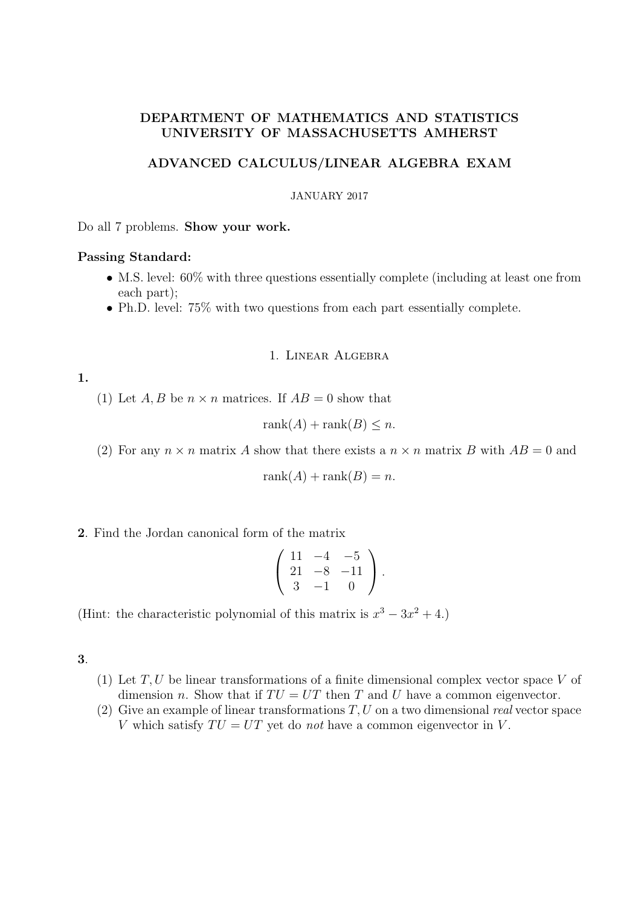# DEPARTMENT OF MATHEMATICS AND STATISTICS UNIVERSITY OF MASSACHUSETTS AMHERST

# ADVANCED CALCULUS/LINEAR ALGEBRA EXAM

#### JANUARY 2017

Do all 7 problems. Show your work.

### Passing Standard:

- M.S. level: 60% with three questions essentially complete (including at least one from each part);
- Ph.D. level: 75% with two questions from each part essentially complete.

### 1. Linear Algebra

1.

(1) Let A, B be  $n \times n$  matrices. If  $AB = 0$  show that

$$
rank(A) + rank(B) \le n.
$$

(2) For any  $n \times n$  matrix A show that there exists a  $n \times n$  matrix B with  $AB = 0$  and

$$
rank(A) + rank(B) = n.
$$

2. Find the Jordan canonical form of the matrix

$$
\left(\begin{array}{rrr} 11 & -4 & -5 \\ 21 & -8 & -11 \\ 3 & -1 & 0 \end{array}\right).
$$

(Hint: the characteristic polynomial of this matrix is  $x^3 - 3x^2 + 4$ .)

3.

- (1) Let  $T, U$  be linear transformations of a finite dimensional complex vector space V of dimension n. Show that if  $TU = UT$  then T and U have a common eigenvector.
- (2) Give an example of linear transformations  $T, U$  on a two dimensional real vector space V which satisfy  $TU = UT$  yet do not have a common eigenvector in V.